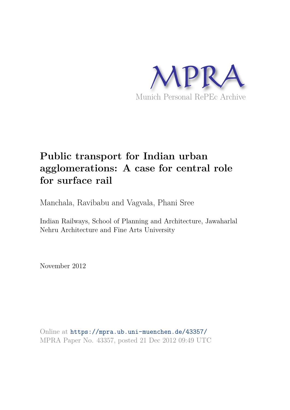

## **Public transport for Indian urban agglomerations: A case for central role for surface rail**

Manchala, Ravibabu and Vagvala, Phani Sree

Indian Railways, School of Planning and Architecture, Jawaharlal Nehru Architecture and Fine Arts University

November 2012

Online at https://mpra.ub.uni-muenchen.de/43357/ MPRA Paper No. 43357, posted 21 Dec 2012 09:49 UTC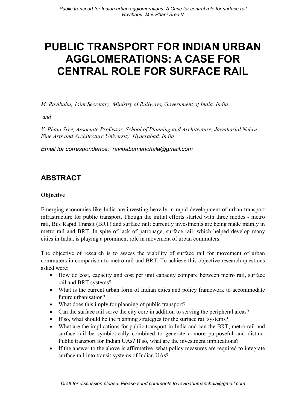# **PUBLIC TRANSPORT FOR INDIAN URBAN AGGLOMERATIONS: A CASE FOR CENTRAL ROLE FOR SURFACE RAIL**

M. Ravibabu, Joint Secretary, Ministry of Railways, Government of India, India

and

V. Phani Sree, Associate Professor, School of Planning and Architecture, Jawaharlal Nehru Fine Arts and Architecture University, Hyderabad, India

Email for correspondence: ravibabumanchala@gmail.com

### **ABSTRACT**

#### **Objective**

Emerging economies like India are investing heavily in rapid development of urban transport infrastructure for public transport. Though the initial efforts started with three modes - metro rail, Bus Rapid Transit (BRT) and surface rail; currently investments are being made mainly in metro rail and BRT. In spite of lack of patronage, surface rail, which helped develop many cities in India, is playing a prominent role in movement of urban commuters.

The objective of research is to assess the viability of surface rail for movement of urban commuters in comparison to metro rail and BRT. To achieve this objective research questions asked were:

- How do cost, capacity and cost per unit capacity compare between metro rail, surface rail and BRT systems?
- What is the current urban form of Indian cities and policy framework to accommodate future urbanisation?
- What does this imply for planning of public transport?
- Can the surface rail serve the city core in addition to serving the peripheral areas?
- If so, what should be the planning strategies for the surface rail systems?
- What are the implications for public transport in India and can the BRT, metro rail and surface rail be symbiotically combined to generate a more purposeful and distinct Public transport for Indian UAs? If so, what are the investment implications?
- If the answer to the above is affirmative, what policy measures are required to integrate surface rail into transit systems of Indian UAs?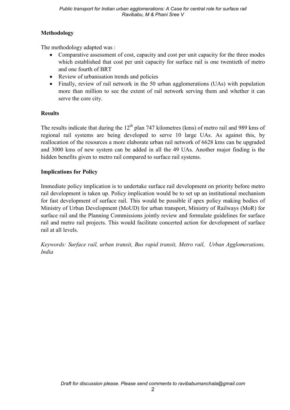#### Methodology

The methodology adapted was:

- Comparative assessment of cost, capacity and cost per unit capacity for the three modes which established that cost per unit capacity for surface rail is one twentieth of metro and one fourth of BRT
- Review of urbanisation trends and policies
- Finally, review of rail network in the 50 urban agglomerations (UAs) with population more than million to see the extent of rail network serving them and whether it can serve the core city.

#### **Results**

The results indicate that during the 12<sup>th</sup> plan 747 kilometres (kms) of metro rail and 989 kms of regional rail systems are being developed to serve 10 large UAs. As against this, by reallocation of the resources a more elaborate urban rail network of 6628 kms can be upgraded and 3000 kms of new system can be added in all the 49 UAs. Another major finding is the hidden benefits given to metro rail compared to surface rail systems.

#### **Implications for Policy**

Immediate policy implication is to undertake surface rail development on priority before metro rail development is taken up. Policy implication would be to set up an institutional mechanism for fast development of surface rail. This would be possible if apex policy making bodies of Ministry of Urban Development (MoUD) for urban transport, Ministry of Railways (MoR) for surface rail and the Planning Commissions jointly review and formulate guidelines for surface rail and metro rail projects. This would facilitate concerted action for development of surface rail at all levels.

Keywords: Surface rail, urban transit, Bus rapid transit, Metro rail, Urban Agglomerations, *India*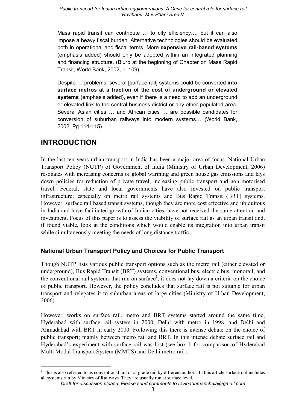#### Public transport for Indian urban agglomerations: A Case for central role for surface rail Ravibabu. M & Phani Sree V

Mass rapid transit can contribute ... to city efficiency..., but it can also impose a heavy fiscal burden. Alternative technologies should be evaluated both in operational and fiscal terms. More expensive rail-based systems (emphasis added) should only be adopted within an integrated planning and financing structure. (Blurb at the beginning of Chapter on Mass Rapid Transit, World Bank, 2002, p. 109)

Despite ... problems, several [surface rail] systems could be converted into surface metros at a fraction of the cost of underground or elevated systems (emphasis added), even if there is a need to add an underground or elevated link to the central business district or any other populated area. Several Asian cities ... and African cities ... are possible candidates for conversion of suburban railways into modern systems... (World Bank, 2002, Pg 114-115)

### **INTRODUCTION**

In the last ten years urban transport in India has been a major area of focus. National Urban Transport Policy (NUTP) of Government of India (Ministry of Urban Development, 2006) resonates with increasing concerns of global warming and green house gas emissions and lays down policies for reduction of private travel, increasing public transport and non motorised travel. Federal, state and local governments have also invested on public transport infrastructure; especially on metro rail systems and Bus Rapid Transit (BRT) systems. However, surface rail based transit systems, though they are more cost effective and ubiquitous in India and have facilitated growth of Indian cities, have not received the same attention and investment. Focus of this paper is to assess the viability of surface rail as an urban transit and, if found viable, look at the conditions which would enable its integration into urban transit while simultaneously meeting the needs of long distance traffic.

#### **National Urban Transport Policy and Choices for Public Transport**

Though NUTP lists various public transport options such as the metro rail (either elevated or underground), Bus Rapid Transit (BRT) systems, conventional bus, electric bus, monorail, and the conventional rail systems that run on surface<sup>1</sup>, it does not lay down a criteria on the choice of public transport. However, the policy concludes that surface rail is not suitable for urban transport and relegates it to suburban areas of large cities (Ministry of Urban Development,  $2006$ ).

However, works on surface rail, metro and BRT systems started around the same time; Hyderabad with surface rail system in 2000, Delhi with metro in 1998, and Delhi and Ahmadabad with BRT in early 2000. Following this there is intense debate on the choice of public transport; mainly between metro rail and BRT. In this intense debate surface rail and Hyderabad's experiment with surface rail was lost (see box 1 for comparison of Hyderabad Multi Modal Transport System (MMTS) and Delhi metro rail).

 $1$  This is also referred to as conventional rail or at grade rail by different authors. In this article surface rail includes all systems run by Ministry of Railways. They are usually run at surface level.

Draft for discussion please. Please send comments to ravibabumanchala@gmail.com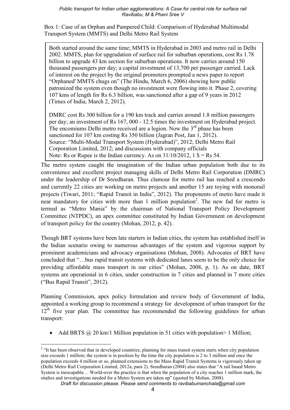Box 1: Case of an Orphan and Pampered Child: Comparison of Hyderabad Multimodal Transport System (MMTS) and Delhi Metro Rail System

Both started around the same time: MMTS in Hyderabad in 2003 and metro rail in Delhi 2002. MMTS, plan for upgradation of surface rail for suburban operations, cost Rs 1.78 billion to upgrade 43 km section for suburban operations. It now carries around 150 thousand passengers per day: a capital investment of 13.700 per passenger carried. Lack of interest on the project by the original promoters prompted a news paper to report "Orphaned' MMTS chugs on" (The Hindu, March 6, 2006) showing how public patronized the system even though no investment were flowing into it. Phase 2, covering 107 kms of length for Rs 6.3 billion, was sanctioned after a gap of 9 years in 2012 (Times of India, March 2, 2012).

DMRC cost Rs 300 billion for a 190 km track and carries around 1.8 million passengers per day: an investment of Rs 167, 000 - 12.5 times the investment on Hyderabad project. The encomiums Delhi metro received are a legion. Now the 3<sup>rd</sup> phase has been sanctioned for 107 km costing Rs 350 billion (Jagran Post, Jan 1, 2012). Source: "Multi-Modal Transport System (Hyderabad)", 2012; Delhi Metro Rail Corporation Limited, 2012; and discussions with company officials Note: Rs or Rupee is the Indian currency. As on  $31/10/2012$ ,  $1\$  = Rs 54.

The metro system caught the imagination of the Indian urban population both due to its convenience and excellent project managing skills of Delhi Metro Rail Corporation (DMRC) under the leadership of Dr Sreedharan. Thus clamour for metro rail has reached a crescendo and currently 22 cities are working on metro projects and another 15 are toying with monorail projects (Tiwari, 2011; "Rapid Transit in India", 2012). The proponents of metro have made it near mandatory for cities with more than 1 million population<sup>2</sup>. The new fad for metro is termed as "Metro Mania" by the chairman of National Transport Policy Development Committee (NTPDC), an apex committee constituted by Indian Government on development of transport policy for the country (Mohan, 2012, p. 42).

Though BRT systems have been late starters in Indian cities, the system has established itself in the Indian scenario owing to numerous advantages of the system and vigorous support by prominent academicians and advocacy organisations (Mohan, 2008). Advocates of BRT have concluded that "...bus rapid transit systems with dedicated lanes seem to be the only choice for providing affordable mass transport in our cities" (Mohan, 2008, p, 1). As on date, BRT systems are operational in 6 cities, under construction in 7 cities and planned in 7 more cities ("Bus Rapid Transit", 2012).

Planning Commission, apex policy formulation and review body of Government of India, appointed a working group to recommend a strategy for development of urban transport for the  $12<sup>th</sup>$  five vear plan. The committee has recommended the following guidelines for urban transport:

• Add BRTS  $\omega$  20 km/1 Million population in 51 cities with population > 1 Million;

<sup>&</sup>lt;sup>2</sup> "It has been observed that in developed countries, planning for mass transit system starts when city population size exceeds 1 million; the system is in position by the time the city population is 2 to 3 million and once the population exceeds 4 million or so, planned extensions to the Mass Rapid Transit Systems is vigorously taken up (Delhi Metro Rail Corporation Limited, 2012a, para 2). Sreedharan (2004) also states that "A rail based Metro System is inescapable... World-over the practice is that when the population of a city reaches 1 million mark, the studies and investigations needed for a Metro System are taken up" (quoted by Mohan, 2008).

Draft for discussion please. Please send comments to ravibabumanchala@gmail.com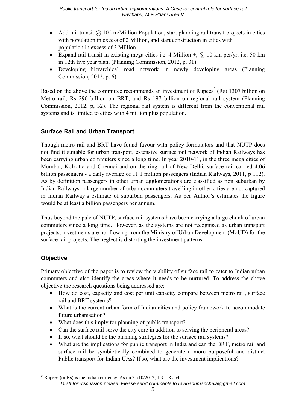- Add rail transit  $\omega$  10 km/Million Population, start planning rail transit projects in cities with population in excess of 2 Million, and start construction in cities with population in excess of 3 Million.
- Expand rail transit in existing mega cities i.e. 4 Million  $+$ ,  $\omega$  10 km per/yr. i.e. 50 km in 12th five year plan, (Planning Commission, 2012, p. 31)
- Developing hierarchical road network in newly developing areas (Planning Commission, 2012, p. 6)

Based on the above the committee recommends an investment of Rupees<sup>3</sup> (Rs) 1307 billion on Metro rail, Rs 296 billion on BRT, and Rs 197 billion on regional rail system (Planning Commission, 2012, p. 32). The regional rail system is different from the conventional rail systems and is limited to cities with 4 million plus population.

#### **Surface Rail and Urban Transport**

Though metro rail and BRT have found favour with policy formulators and that NUTP does not find it suitable for urban transport, extensive surface rail network of Indian Railways has been carrying urban commuters since a long time. In year 2010-11, in the three mega cities of Mumbai, Kolkatta and Chennai and on the ring rail of New Delhi, surface rail carried 4.06 billion passengers - a daily average of 11.1 million passengers (Indian Railways, 2011, p 112). As by definition passengers in other urban agglomerations are classified as non suburban by Indian Railways, a large number of urban commuters travelling in other cities are not captured in Indian Railway's estimate of suburban passengers. As per Author's estimates the figure would be at least a billion passengers per annum.

Thus beyond the pale of NUTP, surface rail systems have been carrying a large chunk of urban commuters since a long time. However, as the systems are not recognised as urban transport projects, investments are not flowing from the Ministry of Urban Development (MoUD) for the surface rail projects. The neglect is distorting the investment patterns.

### **Objective**

Primary objective of the paper is to review the viability of surface rail to cater to Indian urban commuters and also identify the areas where it needs to be nurtured. To address the above objective the research questions being addressed are:

- How do cost, capacity and cost per unit capacity compare between metro rail, surface rail and BRT systems?
- What is the current urban form of Indian cities and policy framework to accommodate future urbanisation?
- What does this imply for planning of public transport?
- Can the surface rail serve the city core in addition to serving the peripheral areas?
- If so, what should be the planning strategies for the surface rail systems?
- What are the implications for public transport in India and can the BRT, metro rail and surface rail be symbiotically combined to generate a more purposeful and distinct Public transport for Indian UAs? If so, what are the investment implications?

<sup>&</sup>lt;sup>3</sup> Rupees (or Rs) is the Indian currency. As on  $31/10/2012$ ,  $1$  \$ = Rs 54. Draft for discussion please. Please send comments to ravibabumanchala@gmail.com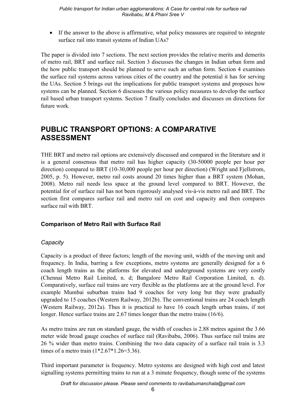• If the answer to the above is affirmative, what policy measures are required to integrate surface rail into transit systems of Indian UAs?

The paper is divided into 7 sections. The next section provides the relative merits and demerits of metro rail, BRT and surface rail. Section 3 discusses the changes in Indian urban form and the how public transport should be planned to serve such an urban form. Section 4 examines the surface rail systems across various cities of the country and the potential it has for serving the UAs. Section 5 brings out the implications for public transport systems and proposes how systems can be planned. Section 6 discusses the various policy measures to develop the surface rail based urban transport systems. Section 7 finally concludes and discusses on directions for future work

### **PUBLIC TRANSPORT OPTIONS: A COMPARATIVE ASSESSMENT**

THE BRT and metro rail options are extensively discussed and compared in the literature and it is a general consensus that metro rail has higher capacity (30-50000 people per hour per direction) compared to BRT (10-30,000 people per hour per direction) (Wright and Fiellstrom, 2005, p. 5). However, metro rail costs around 20 times higher than a BRT system (Mohan, 2008). Metro rail needs less space at the ground level compared to BRT. However, the potential for of surface rail has not been rigorously analysed vis-à-vis metro rail and BRT. The section first compares surface rail and metro rail on cost and capacity and then compares surface rail with BRT.

#### **Comparison of Metro Rail with Surface Rail**

#### Capacity

Capacity is a product of three factors; length of the moving unit, width of the moving unit and frequency. In India, barring a few exceptions, metro systems are generally designed for a 6 coach length trains as the platforms for elevated and underground systems are very costly (Chennai Metro Rail Limited, n. d; Bangalore Metro Rail Corporation Limited, n. d). Comparatively, surface rail trains are very flexible as the platforms are at the ground level. For example Mumbai suburban trains had 9 coaches for very long but they were gradually upgraded to 15 coaches (Western Railway, 2012b). The conventional trains are 24 coach length (Western Railway, 2012a). Thus it is practical to have 16 coach length urban trains, if not longer. Hence surface trains are  $2.67$  times longer than the metro trains  $(16/6)$ .

As metro trains are run on standard gauge, the width of coaches is 2.88 metres against the 3.66 meter wide broad gauge coaches of surface rail (Ravibabu, 2006). Thus surface rail trains are 26 % wider than metro trains. Combining the two data capacity of a surface rail train is 3.3 times of a metro train  $(1*2.67*1.26=3.36)$ .

Third important parameter is frequency. Metro systems are designed with high cost and latest signalling systems permitting trains to run at a 3 minute frequency, though some of the systems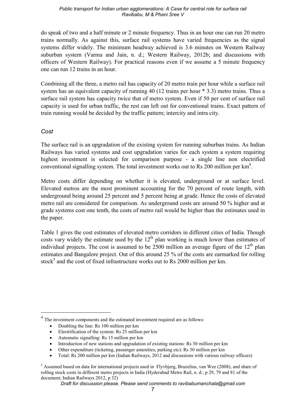do speak of two and a half minute or 2 minute frequency. Thus in an hour one can run 20 metro trains normally. As against this, surface rail systems have varied frequencies as the signal systems differ widely. The minimum headway achieved is 3.6 minutes on Western Railway suburban system (Varma and Jain, n. d.; Western Railway, 2012b; and discussions with officers of Western Railway). For practical reasons even if we assume a 5 minute frequency one can run 12 trains in an hour.

Combining all the three, a metro rail has capacity of 20 metro train per hour while a surface rail system has an equivalent capacity of running 40 (12 trains per hour \* 3.3) metro trains. Thus a surface rail system has capacity twice that of metro system. Even if 50 per cent of surface rail capacity is used for urban traffic, the rest can left out for conventional trains. Exact pattern of train running would be decided by the traffic pattern; intercity and intra city.

#### Cost

The surface rail is an upgradation of the existing system for running suburban trains. As Indian Railways has varied systems and cost upgradation varies for each system a system requiring highest investment is selected for comparison purpose - a single line non electrified conventional signalling system. The total investment works out to Rs 200 million per km<sup>4</sup>.

Metro costs differ depending on whether it is elevated, underground or at surface level. Elevated metros are the most prominent accounting for the 70 percent of route length, with underground being around 25 percent and 5 percent being at grade. Hence the costs of elevated metro rail are considered for comparison. As underground costs are around 50 % higher and at grade systems cost one tenth, the costs of metro rail would be higher than the estimates used in the paper.

Table 1 gives the cost estimates of elevated metro corridors in different cities of India. Though costs vary widely the estimate used by the  $12<sup>th</sup>$  plan working is much lower than estimates of individual projects. The cost is assumed to be 2500 million an average figure of the  $12<sup>th</sup>$  plan estimates and Bangalore project. Out of this around 25 % of the costs are earmarked for rolling stock<sup>5</sup> and the cost of fixed infrastructure works out to Rs 2000 million per km.

Draft for discussion please. Please send comments to ravibabumanchala@gmail.com

<sup>&</sup>lt;sup>4</sup> The investment components and the estimated investment required are as follows:

Doubling the line: Rs 100 million per km

Electrification of the system: Rs 25 million per km

Automatic signalling: Rs 15 million per km

<sup>•</sup> Introduction of new stations and upgradation of existing stations: Rs 30 million per km

Other expenditure (ticketing, passenger amenities, parking etc): Rs 30 million per km

Total: Rs 200 million per km (Indian Railways, 2012 and discussions with various railway officers)

<sup>&</sup>lt;sup>5</sup> Assumed based on data for international projects used in Flyvbjerg, Bruzelius, van Wee (2008), and share of rolling stock costs in different metro projects in India (Hyderabad Metro Rail, n. d.; p 29, 79 and 81 of the document; Indian Railways 2012, p 32)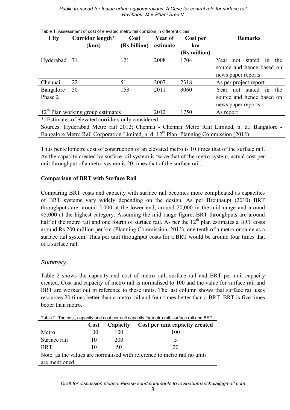| <b>City</b>                                       | Corridor length* | Cost         | Year of  | Cost per     | <b>Remarks</b>                     |
|---------------------------------------------------|------------------|--------------|----------|--------------|------------------------------------|
|                                                   | (kms)            | (Rs billion) | estimate | km           |                                    |
|                                                   |                  |              |          | (Rs million) |                                    |
| Hyderabad                                         | - 71             | 121          | 2008     | 1704         | stated<br>the<br>Year<br>not<br>1n |
|                                                   |                  |              |          |              | source and hence based on          |
|                                                   |                  |              |          |              | news paper reports                 |
| Chennai                                           | 22               | 51           | 2007     | 2318         | As per project report              |
| Bangalore                                         | 50               | 153          | 2011     | 3060         | not stated<br>the<br>Year<br>1n    |
| Phase 2                                           |                  |              |          |              | source and hence based on          |
|                                                   |                  |              |          |              | news paper reports                 |
| $12th$ Plan working group estimates               |                  |              | 2012     | 1750         | As report                          |
| * Estimates of elevated corridors only considered |                  |              |          |              |                                    |

Table 1: Assessment of cost of elevated metro rail corridors in different cities

\*: Estimates of elevated corridors only considered.

Sources: Hyderabad Metro rail 2012; Chennai - Chennai Metro Rail Limited, n. d.; Bangalore -Bangalore Metro Rail Corporation Limited, n. d; 12<sup>th</sup> Plan: Planning Commission (2012)

Thus per kilometre cost of construction of an elevated metro is 10 times that of the surface rail. As the capacity created by surface rail system is twice that of the metro system, actual cost per unit throughput of a metro system is 20 times that of the surface rail.

#### **Comparison of BRT with Surface Rail**

Comparing BRT costs and capacity with surface rail becomes more complicated as capacities of BRT systems vary widely depending on the design. As per Breithaupt (2010) BRT throughputs are around  $5,000$  at the lower end, around  $20,000$  in the mid range and around 45,000 at the highest category. Assuming the mid range figure, BRT throughputs are around half of the metro rail and one fourth of surface rail. As per the  $12<sup>th</sup>$  plan estimates a BRT costs around Rs 200 million per km (Planning Commission, 2012), one tenth of a metro or same as a surface rail system. Thus per unit throughput costs for a BRT would be around four times that of a surface rail.

#### *Summary*

Table 2 shows the capacity and cost of metro rail, surface rail and BRT per unit capacity created. Cost and capacity of metro rail is normalised to 100 and the value for surface rail and BRT are worked out in reference to these units. The last column shows that surface rail uses resources 20 times better than a metro rail and four times better than a BRT. BRT is five times better than metro.

|                                                                          | <b>Cost</b> | Capacity | Cost per unit capacity created |  |  |  |
|--------------------------------------------------------------------------|-------------|----------|--------------------------------|--|--|--|
| Metro                                                                    | 100         | 100      | 100                            |  |  |  |
| Surface rail                                                             |             | 200      |                                |  |  |  |
| <b>BRT</b>                                                               |             | 50       | 20                             |  |  |  |
| Note: as the values are normalised with reference to metro rail no units |             |          |                                |  |  |  |
| are mentioned                                                            |             |          |                                |  |  |  |

Table 2: The cost, capacity and cost per unit capacity for metro rail, surface rail and BRT.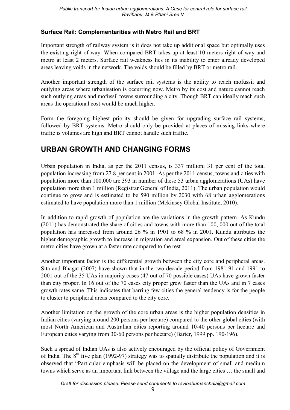#### **Surface Rail: Complementarities with Metro Rail and BRT**

Important strength of railway system is it does not take up additional space but optimally uses the existing right of way. When compared BRT takes up at least 10 meters right of way and metro at least 2 meters. Surface rail weakness lies in its inability to enter already developed areas leaving voids in the network. The voids should be filled by BRT or metro rail.

Another important strength of the surface rail systems is the ability to reach mofussil and outlying areas where urbanisation is occurring now. Metro by its cost and nature cannot reach such outlying areas and mofussil towns surrounding a city. Though BRT can ideally reach such areas the operational cost would be much higher.

Form the foregoing highest priority should be given for upgrading surface rail systems, followed by BRT systems. Metro should only be provided at places of missing links where traffic is volumes are high and BRT cannot handle such traffic.

### **URBAN GROWTH AND CHANGING FORMS**

Urban population in India, as per the 2011 census, is 337 million; 31 per cent of the total population increasing from 27.8 per cent in 2001. As per the 2011 census, towns and cities with population more than 100,000 are 393 in number of these 53 urban agglomerations (UAs) have population more than 1 million (Registrar General of India, 2011). The urban population would continue to grow and is estimated to be 590 million by 2030 with 68 urban agglomerations estimated to have population more than 1 million (Mckinsey Global Institute, 2010).

In addition to rapid growth of population are the variations in the growth pattern. As Kundu (2011) has demonstrated the share of cities and towns with more than 100, 000 out of the total population has increased from around 26 % in 1901 to 68 % in 2001. Kundu attributes the higher demographic growth to increase in migration and areal expansion. Out of these cities the metro cities have grown at a faster rate compared to the rest.

Another important factor is the differential growth between the city core and peripheral areas. Sita and Bhagat (2007) have shown that in the two decade period from 1981-91 and 1991 to 2001 out of the 35 UAs in majority cases (47 out of 70 possible cases) UAs have grown faster than city proper. In 16 out of the 70 cases city proper grew faster than the UAs and in 7 cases growth rates same. This indicates that barring few cities the general tendency is for the people to cluster to peripheral areas compared to the city core.

Another limitation on the growth of the core urban areas is the higher population densities in Indian cities (varying around 200 persons per hectare) compared to the other global cities (with most North American and Australian cities reporting around 10-40 persons per hectare and European cities varying from 30-60 persons per hectare) (Barter, 1999 pp. 190-196).

Such a spread of Indian UAs is also actively encouraged by the official policy of Government of India. The  $8<sup>th</sup>$  five plan (1992-97) strategy was to spatially distribute the population and it is observed that "Particular emphasis will be placed on the development of small and medium towns which serve as an important link between the village and the large cities ... the small and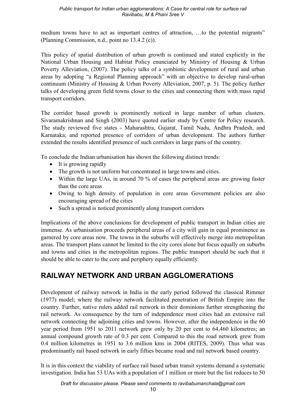medium towns have to act as important centres of attraction, ...to the potential migrants" (Planning Commission, n.d., point no 13.4.2 (c)).

This policy of spatial distribution of urban growth is continued and stated explicitly in the National Urban Housing and Habitat Policy enunciated by Ministry of Housing & Urban Poverty Alleviation, (2007). The policy talks of a symbiotic development of rural and urban areas by adopting "a Regional Planning approach" with an objective to develop rural-urban continuum (Ministry of Housing & Urban Poverty Alleviation, 2007, p. 5). The policy further talks of developing green field towns closer to the cities and connecting them with mass rapid transport corridors.

The corridor based growth is prominently noticed in large number of urban clusters. Sivaramakrishnan and Singh (2003) have quoted earlier study by Centre for Policy research. The study reviewed five states - Maharashtra, Gujarat, Tamil Nadu, Andhra Pradesh, and Karnataka; and reported presence of corridors of urban development. The authors further extended the results identified presence of such corridors in large parts of the country.

To conclude the Indian urbanisation has shown the following distinct trends:

- $\bullet$  It is growing rapidly
- The growth is not uniform but concentrated in large towns and cities.
- Within the large UAs, in around 70  $\%$  of cases the peripheral areas are growing faster than the core areas
- Owing to high density of population in core areas Government policies are also encouraging spread of the cities
- Such a spread is noticed prominently along transport corridors

Implications of the above conclusions for development of public transport in Indian cities are immense. As urbanisation proceeds peripheral areas of a city will gain in equal prominence as garnered by core areas now. The towns in the suburbs will effectively merge into metropolitan areas. The transport plans cannot be limited to the city cores alone but focus equally on suburbs and towns and cities in the metropolitan regions. The public transport should be such that it should be able to cater to the core and periphery equally efficiently.

### **RAILWAY NETWORK AND URBAN AGGLOMERATIONS**

Development of railway network in India in the early period followed the classical Rimmer (1977) model; where the railway network facilitated penetration of British Empire into the country. Further, native rulers added rail network in their dominions further strengthening the rail network. As consequence by the turn of independence most cities had an extensive rail network connecting the adjoining cities and towns. However, after the independence in the 60 year period from 1951 to 2011 network grew only by 20 per cent to 64,460 kilometres; an annual compound growth rate of 0.3 per cent. Compared to this the road network grew from 0.4 million kilometres in 1951 to 3.6 million kms in 2004 (RITES, 2009). Thus what was predominantly rail based network in early fifties became road and rail network based country.

It is in this context the viability of surface rail based urban transit systems demand a systematic investigation. India has 53 UAs with a population of 1 million or more but the list reduces to 50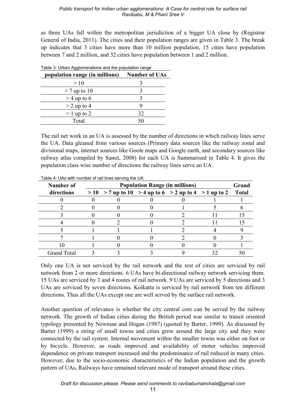as three UAs fall within the metropolitan jurisdiction of a bigger UA close by (Registrar General of India, 2011). The cities and their population ranges are given in Table 3. The break up indicates that 3 cities have more than 10 million population, 15 cities have population between 7 and 2 million, and 32 cities have population between 1 and 2 million.

| Table 3: Urban Agglomerations and the population range |                      |  |  |  |
|--------------------------------------------------------|----------------------|--|--|--|
| population range (in millions)                         | <b>Number of UAs</b> |  |  |  |
| >10                                                    |                      |  |  |  |
| $>$ 7 up to 10                                         |                      |  |  |  |
| $>$ 4 up to 6                                          |                      |  |  |  |
| $>$ 2 up to 4                                          | g                    |  |  |  |
| $>1$ up to 2                                           | 32                   |  |  |  |
| Total                                                  | 50                   |  |  |  |
|                                                        |                      |  |  |  |

The rail net work in an UA is assessed by the number of directions in which railway lines serve the UA. Data gleaned from various sources (Primary data sources like the railway zonal and divisional maps, internet sources like Goole maps and Google earth, and secondary sources like railway atlas compiled by Samit, 2008) for each UA is Summarised in Table 4. It gives the population class wise number of directions the railway lines serve an UA.

| $1.4010$ On to might harmoof of fair in 100 001 might to Only |                                       |                                                         |  |  |  |              |  |
|---------------------------------------------------------------|---------------------------------------|---------------------------------------------------------|--|--|--|--------------|--|
| Number of                                                     | <b>Population Range (in millions)</b> |                                                         |  |  |  |              |  |
| directions                                                    |                                       | $> 10$ > 7 up to 10 > 4 up to 6 > 2 up to 4 > 1 up to 2 |  |  |  | <b>Total</b> |  |
|                                                               |                                       |                                                         |  |  |  |              |  |
|                                                               |                                       |                                                         |  |  |  |              |  |
|                                                               |                                       |                                                         |  |  |  |              |  |
|                                                               |                                       |                                                         |  |  |  |              |  |
|                                                               |                                       |                                                         |  |  |  |              |  |
|                                                               |                                       |                                                         |  |  |  |              |  |
|                                                               |                                       |                                                         |  |  |  |              |  |
| <b>Grand Total</b>                                            |                                       |                                                         |  |  |  |              |  |

Table 4: UAs with number of rail lines serving the UA

Only one UA is not serviced by the rail network and the rest of cities are serviced by rail network from 2 or more directions. 6 UAs have bi-directional railway network servicing them. 15 UAs are serviced by 3 and 4 routes of rail network. 9 UAs are serviced by 5 directions and 3 UAs are serviced by seven directions. Kolkatta is serviced by rail network from ten different directions. Thus all the UAs except one are well served by the surface rail network.

Another question of relevance is whether the city central core can be served by the railway network. The growth of Indian cities during the British period was similar to transit oriented typology presented by Newman and Hogan (1987) (quoted by Barter, 1999). As discussed by Barter (1999) a string of small towns and cities grew around the large city and they were connected by the rail system. Internal movement within the smaller towns was either on foot or by bicycle. However, as roads improved and availability of motor vehicles improved dependence on private transport increased and the predominance of rail reduced in many cities. However, due to the socio-economic characteristics of the Indian population and the growth pattern of UAs, Railways have remained relevant mode of transport around these cities.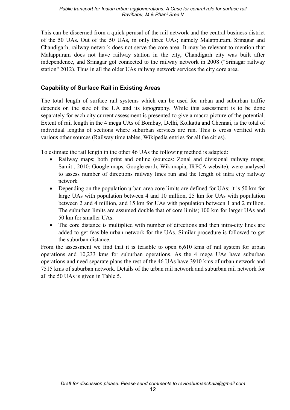This can be discerned from a quick perusal of the rail network and the central business district of the 50 UAs. Out of the 50 UAs, in only three UAs; namely Malappuram, Srinagar and Chandigarh, railway network does not serve the core area. It may be relevant to mention that Malappuram does not have railway station in the city, Chandigarh city was built after independence, and Srinagar got connected to the railway network in 2008 ("Srinagar railway station" 2012). Thus in all the older UAs railway network services the city core area.

#### **Capability of Surface Rail in Existing Areas**

The total length of surface rail systems which can be used for urban and suburban traffic depends on the size of the UA and its topography. While this assessment is to be done separately for each city current assessment is presented to give a macro picture of the potential. Extent of rail length in the 4 mega UAs of Bombay, Delhi, Kolkatta and Chennai, is the total of individual lengths of sections where suburban services are run. This is cross verified with various other sources (Railway time tables, Wikipedia entries for all the cities).

To estimate the rail length in the other 46 UAs the following method is adapted:

- Railway maps; both print and online (sources: Zonal and divisional railway maps; Samit, 2010; Google maps, Google earth, Wikimapia, IRFCA website); were analysed to assess number of directions railway lines run and the length of intra city railway network
- Depending on the population urban area core limits are defined for UAs; it is 50 km for large UAs with population between 4 and 10 million, 25 km for UAs with population between 2 and 4 million, and 15 km for UAs with population between 1 and 2 million. The suburban limits are assumed double that of core limits; 100 km for larger UAs and 50 km for smaller UAs.
- The core distance is multiplied with number of directions and then intra-city lines are added to get feasible urban network for the UAs. Similar procedure is followed to get the suburban distance.

From the assessment we find that it is feasible to open 6,610 kms of rail system for urban operations and 10,233 kms for suburban operations. As the 4 mega UAs have suburban operations and need separate plans the rest of the 46 UAs have 3910 kms of urban network and 7515 kms of suburban network. Details of the urban rail network and suburban rail network for all the 50 UAs is given in Table 5.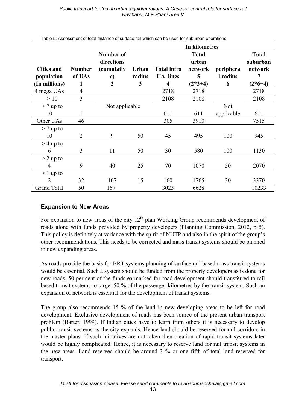|                                 |                         |                                                                               | In kilometres               |                                       |                                       |                       |                                          |
|---------------------------------|-------------------------|-------------------------------------------------------------------------------|-----------------------------|---------------------------------------|---------------------------------------|-----------------------|------------------------------------------|
| <b>Cities and</b><br>population | <b>Number</b><br>of UAs | <b>Number of</b><br>directions<br><i>(cumulativ</i><br>e)<br>$\boldsymbol{2}$ | <b>Urban</b><br>radius<br>3 | <b>Total intra</b><br><b>UA</b> lines | <b>Total</b><br>urban<br>network<br>5 | periphera<br>l radius | <b>Total</b><br>suburban<br>network<br>7 |
| (In millions)                   | 1                       |                                                                               |                             | $\overline{\mathbf{4}}$               | $(2*3+4)$                             | 6                     | $(2*6+4)$                                |
| 4 mega UAs                      | $\overline{4}$          |                                                                               |                             | 2718                                  | 2718                                  |                       | 2718                                     |
| >10                             | 3                       |                                                                               |                             | 2108                                  | 2108                                  |                       | 2108                                     |
| $> 7$ up to                     |                         | Not applicable                                                                |                             |                                       |                                       | Not                   |                                          |
| 10                              | 1                       |                                                                               |                             | 611                                   | 611                                   | applicable            | 611                                      |
| Other UAs                       | 46                      |                                                                               |                             | 305                                   | 3910                                  |                       | 7515                                     |
| $> 7$ up to                     |                         |                                                                               |                             |                                       |                                       |                       |                                          |
| 10                              | $\overline{2}$          | 9                                                                             | 50                          | 45                                    | 495                                   | 100                   | 945                                      |
| $>$ 4 up to                     |                         |                                                                               |                             |                                       |                                       |                       |                                          |
| 6                               | 3                       | 11                                                                            | 50                          | 30                                    | 580                                   | 100                   | 1130                                     |
| $> 2$ up to                     |                         |                                                                               |                             |                                       |                                       |                       |                                          |
| 4                               | 9                       | 40                                                                            | 25                          | 70                                    | 1070                                  | 50                    | 2070                                     |
| $> 1$ up to                     |                         |                                                                               |                             |                                       |                                       |                       |                                          |
| $\overline{2}$                  | 32                      | 107                                                                           | 15                          | 160                                   | 1765                                  | 30                    | 3370                                     |
| <b>Grand Total</b>              | 50                      | 167                                                                           |                             | 3023                                  | 6628                                  |                       | 10233                                    |

Table 5: Assessment of total distance of surface rail which can be used for suburban operations

#### **Expansion to New Areas**

For expansion to new areas of the city  $12<sup>th</sup>$  plan Working Group recommends development of roads alone with funds provided by property developers (Planning Commission, 2012, p 5). This policy is definitely at variance with the spirit of NUTP and also in the spirit of the group's other recommendations. This needs to be corrected and mass transit systems should be planned in new expanding areas.

As roads provide the basis for BRT systems planning of surface rail based mass transit systems would be essential. Such a system should be funded from the property developers as is done for new roads. 50 per cent of the funds earmarked for road development should transferred to rail based transit systems to target 50 % of the passenger kilometres by the transit system. Such an expansion of network is essential for the development of transit systems.

The group also recommends 15 % of the land in new developing areas to be left for road development. Exclusive development of roads has been source of the present urban transport problem (Barter, 1999). If Indian cities have to learn from others it is necessary to develop public transit systems as the city expands. Hence land should be reserved for rail corridors in the master plans. If such initiatives are not taken then creation of rapid transit systems later would be highly complicated. Hence, it is necessary to reserve land for rail transit systems in the new areas. Land reserved should be around 3 % or one fifth of total land reserved for transport.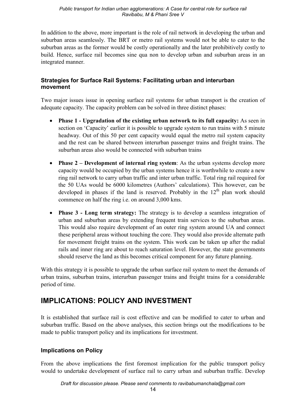In addition to the above, more important is the role of rail network in developing the urban and suburban areas seamlessly. The BRT or metro rail systems would not be able to cater to the suburban areas as the former would be costly operationally and the later prohibitively costly to build. Hence, surface rail becomes sine qua non to develop urban and suburban areas in an integrated manner.

#### Strategies for Surface Rail Systems: Facilitating urban and interurban movement

Two major issues issue in opening surface rail systems for urban transport is the creation of adequate capacity. The capacity problem can be solved in three distinct phases:

- Phase 1 Upgradation of the existing urban network to its full capacity: As seen in section on 'Capacity' earlier it is possible to upgrade system to run trains with 5 minute headway. Out of this 50 per cent capacity would equal the metro rail system capacity and the rest can be shared between interurban passenger trains and freight trains. The suburban areas also would be connected with suburban trains
- **Phase 2 Development of internal ring system:** As the urban systems develop more capacity would be occupied by the urban systems hence it is worthwhile to create a new ring rail network to carry urban traffic and inter urban traffic. Total ring rail required for the 50 UAs would be 6000 kilometres (Authors' calculations). This however, can be developed in phases if the land is reserved. Probably in the  $12<sup>th</sup>$  plan work should commence on half the ring i.e. on around 3,000 kms.
- Phase 3 Long term strategy: The strategy is to develop a seamless integration of urban and suburban areas by extending frequent train services to the suburban areas. This would also require development of an outer ring system around UA and connect these peripheral areas without touching the core. They would also provide alternate path for movement freight trains on the system. This work can be taken up after the radial rails and inner ring are about to reach saturation level. However, the state governments should reserve the land as this becomes critical component for any future planning.

With this strategy it is possible to upgrade the urban surface rail system to meet the demands of urban trains, suburban trains, interurban passenger trains and freight trains for a considerable period of time.

### **IMPLICATIONS: POLICY AND INVESTMENT**

It is established that surface rail is cost effective and can be modified to cater to urban and suburban traffic. Based on the above analyses, this section brings out the modifications to be made to public transport policy and its implications for investment.

#### **Implications on Policy**

From the above implications the first foremost implication for the public transport policy would to undertake development of surface rail to carry urban and suburban traffic. Develop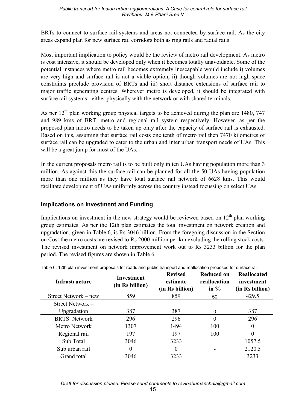BRTs to connect to surface rail systems and areas not connected by surface rail. As the city areas expand plan for new surface rail corridors both as ring rails and radial rails

Most important implication to policy would be the review of metro rail development. As metro is cost intensive, it should be developed only when it becomes totally unavoidable. Some of the potential instances where metro rail becomes extremely inescapable would include i) volumes are very high and surface rail is not a viable option, ii) though volumes are not high space constraints preclude provision of BRTs and iii) short distance extensions of surface rail to major traffic generating centres. Wherever metro is developed, it should be integrated with surface rail systems - either physically with the network or with shared terminals.

As per  $12<sup>th</sup>$  plan working group physical targets to be achieved during the plan are 1480, 747 and 989 kms of BRT, metro and regional rail system respectively. However, as per the proposed plan metro needs to be taken up only after the capacity of surface rail is exhausted. Based on this, assuming that surface rail costs one tenth of metro rail then 7470 kilometres of surface rail can be upgraded to cater to the urban and inter urban transport needs of UAs. This will be a great jump for most of the UAs.

In the current proposals metro rail is to be built only in ten UAs having population more than 3 million. As against this the surface rail can be planned for all the 50 UAs having population more than one million as they have total surface rail network of 6628 kms. This would facilitate development of UAs uniformly across the country instead focussing on select UAs.

#### **Implications on Investment and Funding**

Implications on investment in the new strategy would be reviewed based on 12<sup>th</sup> plan working group estimates. As per the 12th plan estimates the total investment on network creation and upgradation, given in Table 6, is Rs 3046 billion. From the foregoing discussion in the Section on Cost the metro costs are revised to Rs 2000 million per km excluding the rolling stock costs. The revised investment on network improvement work out to Rs 3233 billion for the plan period. The revised figures are shown in Table 6.

| Infrastructure       | Investment<br>(in Rs billion) | <b>Revised</b><br>estimate<br>(in Rs billion) | <b>Reduced on</b><br>reallocation<br>in $\%$ | <b>Reallocated</b><br>investment<br>(in Rs billion) |
|----------------------|-------------------------------|-----------------------------------------------|----------------------------------------------|-----------------------------------------------------|
| Street Network – new | 859                           | 859                                           | 50                                           | 429.5                                               |
| Street Network –     |                               |                                               |                                              |                                                     |
| Upgradation          | 387                           | 387                                           | 0                                            | 387                                                 |
| <b>BRTS</b> Network  | 296                           | 296                                           | $\Omega$                                     | 296                                                 |
| Metro Network        | 1307                          | 1494                                          | 100                                          | 0                                                   |
| Regional rail        | 197                           | 197                                           | 100                                          | 0                                                   |
| Sub Total            | 3046                          | 3233                                          |                                              | 1057.5                                              |
| Sub urban rail       | 0                             | 0                                             |                                              | 2120.5                                              |
| Grand total          | 3046                          | 3233                                          |                                              | 3233                                                |

algebra reade and public transport and reallecation proposed for surface rail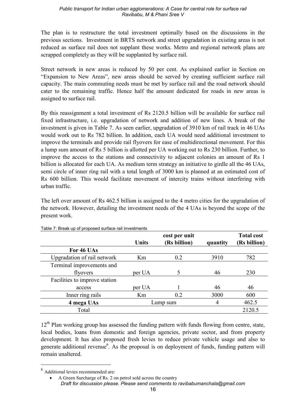The plan is to restructure the total investment optimally based on the discussions in the previous sections. Investment in BRTS network and street upgradation in existing areas is not reduced as surface rail does not supplant these works. Metro and regional network plans are scrapped completely as they will be supplanted by surface rail.

Street network in new areas is reduced by 50 per cent. As explained earlier in Section on "Expansion to New Areas", new areas should be served by creating sufficient surface rail capacity. The main commuting needs must be met by surface rail and the road network should cater to the remaining traffic. Hence half the amount dedicated for roads in new areas is assigned to surface rail.

By this reassignment a total investment of Rs 2120.5 billion will be available for surface rail fixed infrastructure, i.e. upgradation of network and addition of new lines. A break of the investment is given in Table 7. As seen earlier, upgradation of 3910 km of rail track in 46 UAs would work out to Rs 782 billion. In addition, each UA would need additional investment to improve the terminals and provide rail flyovers for ease of multidirectional movement. For this a lump sum amount of Rs 5 billion is allotted per UA working out to Rs 230 billion. Further, to improve the access to the stations and connectivity to adjacent colonies an amount of Rs 1 billion is allocated for each UA. As medium term strategy an initiative to girdle all the 46 UAs, semi circle of inner ring rail with a total length of 3000 km is planned at an estimated cost of Rs 600 billion. This would facilitate movement of intercity trains without interfering with urban traffic

The left over amount of Rs 462.5 billion is assigned to the 4 metro cities for the upgradation of the network. However, detailing the investment needs of the 4 UAs is beyond the scope of the present work.

|                               |              | cost per unit |          | <b>Total cost</b> |
|-------------------------------|--------------|---------------|----------|-------------------|
|                               | <b>Units</b> | (Rs billion)  | quantity | (Rs billion)      |
| For 46 UAs                    |              |               |          |                   |
| Upgradation of rail network   | Km           | 0.2           | 3910     | 782               |
| Terminal improvements and     |              |               |          |                   |
| flyovers                      | per UA       |               | 46       | 230               |
| Facilities to improve station |              |               |          |                   |
| access                        | per UA       |               | 46       | 46                |
| Inner ring rails              | Km           | 0.2           | 3000     | 600               |
| 4 mega UAs                    |              | Lump sum      | 4        | 462.5             |
| Total                         |              |               |          | 2120.5            |

Table 7: Break up of proposed surface rail investments

 $12<sup>th</sup>$  Plan working group has assessed the funding pattern with funds flowing from centre, state, local bodies, loans from domestic and foreign agencies, private sector, and from property development. It has also proposed fresh levies to reduce private vehicle usage and also to generate additional revenue<sup>6</sup>. As the proposal is on deployment of funds, funding pattern will remain unaltered.

 $<sup>6</sup>$  Additional levies recommended are:</sup>

A Green Surcharge of Rs. 2 on petrol sold across the country Draft for discussion please. Please send comments to ravibabumanchala@gmail.com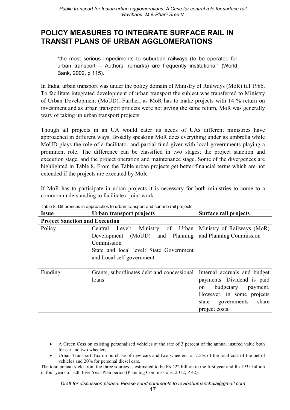### POLICY MEASURES TO INTEGRATE SURFACE RAIL IN **TRANSIT PLANS OF URBAN AGGLOMERATIONS**

"the most serious impediments to suburban railways (to be operated for urban transport - Authors' remarks) are frequently institutional" (World Bank, 2002, p 115).

In India, urban transport was under the policy domain of Ministry of Railways (MoR) till 1986. To facilitate integrated development of urban transport the subject was transferred to Ministry of Urban Development (MoUD). Further, as MoR has to make projects with 14 % return on investment and as urban transport projects were not giving the same return, MoR was generally wary of taking up urban transport projects.

Though all projects in an UA would cater its needs of UAs different ministries have approached in different ways. Broadly speaking MoR does everything under its umbrella while MoUD plays the role of a facilitator and partial fund giver with local governments playing a prominent role. The difference can be classified in two stages; the project sanction and execution stage, and the project operation and maintenance stage. Some of the divergences are highlighted in Table 8. From the Table urban projects get better financial terms which are not extended if the projects are executed by MoR.

If MoR has to participate in urban projects it is necessary for both ministries to come to a common understanding to facilitate a joint work.

| Issue                                 | Urban transport projects                                                                                                                                                                                     | Surface rail projects                                                                                                                     |
|---------------------------------------|--------------------------------------------------------------------------------------------------------------------------------------------------------------------------------------------------------------|-------------------------------------------------------------------------------------------------------------------------------------------|
| <b>Project Sanction and Execution</b> |                                                                                                                                                                                                              |                                                                                                                                           |
| Policy                                | Central Level: Ministry of Urban Ministry of Railways (MoR)<br>Development (MoUD) and Planning and Planning Commission<br>Commission<br>State and local level: State Government<br>and Local self government |                                                                                                                                           |
| Funding                               | Grants, subordinates debt and concessional Internal accruals and budget<br>loans                                                                                                                             | payments. Dividend is paid<br>budgetary<br>payment.<br>on<br>However, in some projects<br>share<br>governments<br>state<br>project costs. |

Table 8: Differences in approaches to urban transport and surface rail projects

A Green Cess on existing personalised vehicles at the rate of 3 percent of the annual insured value both for car and two wheelers.

Urban Transport Tax on purchase of new cars and two wheelers: at 7.5% of the total cost of the petrol vehicles and 20% for personal diesel cars.

The total annual yield from the three sources is estimated to be Rs 422 billion in the first year and Rs 1935 billion in four years of 12th Five Year Plan period (Planning Commissions, 2012, P 42).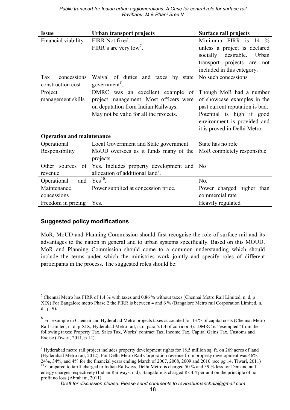| <b>Issue</b>                                     | Urban transport projects                                                                                                                                    | Surface rail projects                                                                                                                                                                 |
|--------------------------------------------------|-------------------------------------------------------------------------------------------------------------------------------------------------------------|---------------------------------------------------------------------------------------------------------------------------------------------------------------------------------------|
| Financial viability                              | FIRR Not fixed.<br>FIRR's are very low'.                                                                                                                    | Minimum FIRR is 14 %<br>unless a project is declared<br>socially<br>desirable.<br>Urban<br>transport projects are<br>not<br>included in this category.                                |
| concessions<br>Tax<br>construction cost          | Waival of duties and taxes<br>by<br>state<br>government <sup>8</sup> .                                                                                      | No such concessions                                                                                                                                                                   |
| Project<br>management skills                     | DMRC was an excellent example of<br>project management. Most officers were<br>on deputation from Indian Railways.<br>May not be valid for all the projects. | Though MoR had a number<br>of showcase examples in the<br>past current reputation is bad.<br>Potential is high if good<br>environment is provided and<br>it is proved in Delhi Metro. |
| <b>Operation and maintenance</b>                 |                                                                                                                                                             |                                                                                                                                                                                       |
| Operational<br>Responsibility                    | Local Government and State government<br>MoUD oversees as it funds many of the<br>projects                                                                  | State has no role<br>MoR completely responsible                                                                                                                                       |
| Other<br>of<br>sources<br>revenue                | Yes. Includes property development and<br>allocation of additional land <sup>9</sup> .                                                                      | N <sub>o</sub>                                                                                                                                                                        |
| Operational<br>and<br>Maintenance<br>concessions | $Yes^{10}$ .<br>Power supplied at concession price.                                                                                                         | No.<br>Power charged higher than<br>commercial rate                                                                                                                                   |
| Freedom in pricing                               | Yes.                                                                                                                                                        | Heavily regulated                                                                                                                                                                     |

#### **Suggested policy modifications**

MoR, MoUD and Planning Commission should first recognise the role of surface rail and its advantages to the nation in general and to urban systems specifically. Based on this MOUD, MoR and Planning Commission should come to a common understanding which should include the terms under which the ministries work jointly and specify roles of different participants in the process. The suggested roles should be:

Draft for discussion please. Please send comments to ravibabumanchala@gmail.com

<sup>&</sup>lt;sup>7</sup> Chennai Metro has FIRR of 1.4 % with taxes and 0.86 % without taxes (Chennai Metro Rail Limited, n. d. p XIX) For Bangalore metro Phase 2 the FIRR is between 4 and 6 % (Bangalore Metro rail Corporation Limited, n.  $d., p. 9).$ 

<sup>&</sup>lt;sup>8</sup> For example in Chennai and Hyderabad Metro projects taxes accounted for 13 % of capital costs (Chennai Metro Rail Limited, n. d, p XIX, Hyderabad Metro rail, n. d, para 5.1.4 of corridor 3). DMRC is "exempted" from the following taxes: Property Tax, Sales Tax, Works' contract Tax, Income Tax, Capital Gains Tax, Customs and Excise (Tiwari, 2011, p 14).

<sup>&</sup>lt;sup>9</sup> Hyderabad metro rail project includes property development rights for 18.5 million sq. ft. on 269 acres of land (Hyderabad Metro rail. 2012). For Delhi Metro Rail Corporation revenue from property development was 46%. 24%, 34%, and 4% for the financial years ending March of 2007, 2008, 2009 and 2010 (see pg 14, Tiwari, 2011) <sup>10</sup> Compared to tariff charged to Indian Railways, Delhi Metro is charged 50 % and 39 % less for Demand and <sup>10</sup> energy charges respectively (Indian Railways, n.d). Bangalore is charged Rs 4.4 per unit on the principle of no profit no loss (Abraham, 2011).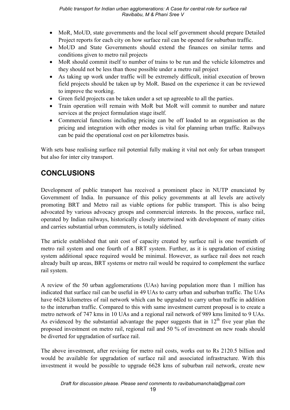- MoR, MoUD, state governments and the local self government should prepare Detailed Project reports for each city on how surface rail can be opened for suburban traffic.
- MoUD and State Governments should extend the finances on similar terms and conditions given to metro rail projects
- MoR should commit itself to number of trains to be run and the vehicle kilometres and they should not be less than those possible under a metro rail project
- As taking up work under traffic will be extremely difficult, initial execution of brown field projects should be taken up by MoR. Based on the experience it can be reviewed to improve the working.
- Green field projects can be taken under a set up agreeable to all the parties.
- Train operation will remain with MoR but MoR will commit to number and nature services at the project formulation stage itself.
- Commercial functions including pricing can be off loaded to an organisation as the pricing and integration with other modes is vital for planning urban traffic. Railways can be paid the operational cost on per kilometres basis.

With sets base realising surface rail potential fully making it vital not only for urban transport but also for inter city transport.

## **CONCLUSIONS**

Development of public transport has received a prominent place in NUTP enunciated by Government of India. In pursuance of this policy governments at all levels are actively promoting BRT and Metro rail as viable options for public transport. This is also being advocated by various advocacy groups and commercial interests. In the process, surface rail, operated by Indian railways, historically closely intertwined with development of many cities and carries substantial urban commuters, is totally sidelined.

The article established that unit cost of capacity created by surface rail is one twentieth of metro rail system and one fourth of a BRT system. Further, as it is upgradation of existing system additional space required would be minimal. However, as surface rail does not reach already built up areas, BRT systems or metro rail would be required to complement the surface rail system.

A review of the 50 urban agglomerations (UAs) having population more than 1 million has indicated that surface rail can be useful in 49 UAs to carry urban and suburban traffic. The UAs have 6628 kilometres of rail network which can be upgraded to carry urban traffic in addition to the interurban traffic. Compared to this with same investment current proposal is to create a metro network of 747 kms in 10 UAs and a regional rail network of 989 kms limited to 9 UAs. As evidenced by the substantial advantage the paper suggests that in  $12<sup>th</sup>$  five year plan the proposed investment on metro rail, regional rail and 50 % of investment on new roads should be diverted for upgradation of surface rail.

The above investment, after revising for metro rail costs, works out to Rs 2120.5 billion and would be available for upgradation of surface rail and associated infrastructure. With this investment it would be possible to upgrade 6628 kms of suburban rail network, create new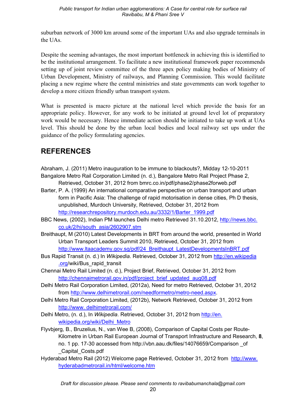suburban network of 3000 km around some of the important UAs and also upgrade terminals in the UAs.

Despite the seeming advantages, the most important bottleneck in achieving this is identified to be the institutional arrangement. To facilitate a new institutional framework paper recommends setting up of joint review committee of the three apex policy making bodies of Ministry of Urban Development, Ministry of railways, and Planning Commission. This would facilitate placing a new regime where the central ministries and state governments can work together to develop a more citizen friendly urban transport system.

What is presented is macro picture at the national level which provide the basis for an appropriate policy. However, for any work to be initiated at ground level lot of preparatory work would be necessary. Hence immediate action should be initiated to take up work at UAs level. This should be done by the urban local bodies and local railway set ups under the guidance of the policy formulating agencies.

### **REFERENCES**

- Abraham, J. (2011) Metro inauguration to be immune to blackouts?, Midday 12-10-2011 Bangalore Metro Rail Corporation Limited (n. d.), Bangalore Metro Rail Project Phase 2, Retrieved, October 31, 2012 from bmrc.co.in/pdf/phase2/phase2forweb.pdf
- Barter, P. A. (1999) An international comparative perspective on urban transport and urban form in Pacific Asia: The challenge of rapid motorisation in dense cities, Ph D thesis, unpublished, Murdoch University, Retrieved, October 31, 2012 from http://researchrepository.murdoch.edu.au/3332/1/Barter\_1999.pdf
- BBC News, (2002), Indian PM launches Delhi metro Retrieved 31.10.2012, http://news.bbc. co.uk/2/hi/south\_asia/2602907.stm
- Breithaupt, M (2010) Latest Developments in BRT from around the world, presented in World Urban Transport Leaders Summit 2010, Retrieved, October 31, 2012 from http://www.ltaacademy.gov.sg/pdf/24\_Breithaupt\_LatestDevelopmentsInBRT.pdf
- Bus Rapid Transit (n. d.) In *Wikipedia*. Retrieved, October 31, 2012 from http://en.wikipedia .org/wiki/Bus\_rapid\_transit
- Chennai Metro Rail Limited (n. d.), Project Brief, Retrieved, October 31, 2012 from http://chennaimetrorail.gov.in/pdf/project\_brief\_updated\_aug08.pdf
- Delhi Metro Rail Corporation Limited, (2012a), Need for metro Retrieved, October 31, 2012 from http://www.delhimetrorail.com/needformetro/metro/need.aspx.
- Delhi Metro Rail Corporation Limited, (2012b), Network Retrieved, October 31, 2012 from http://www. delhimetrorail.com/
- Delhi Metro, (n. d.), In *Wikipedia*. Retrieved, October 31, 2012 from *http://en.* wikipedia.org/wiki/Delhi\_Metro
- Flyvbjerg, B., Bruzelius, N., van Wee B, (2008), Comparison of Capital Costs per Route/ Kilometre in Urban Rail European Journal of Transport Infrastructure and Research, 8, no. 1 pp. 17-30 accessed from http://vbn.aau.dk/files/14076659/Comparison of \_Capital\_Costs.pdf
- Hyderabad Metro Rail (2012) Welcome page Retrieved, October 31, 2012 from http://www. hyderabadmetrorail.in/html/welcome.htm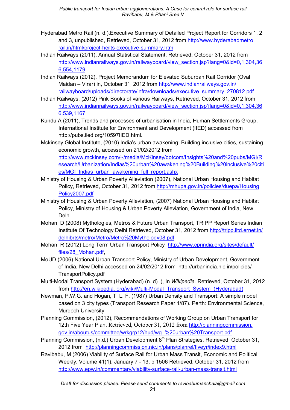- Hyderabad Metro Rail (n. d.),Executive Summary of Detailed Project Report for Corridors 1, 2, and 3, unpublished, Retrieved, October 31, 2012 from http://www.hyderabadmetro rail.in/html/project-heilts-executive-summary.htm
- Indian Railways (2011), Annual Statistical Statement, Retrieved, October 31, 2012 from http://www.indianrailways.gov.in/railwayboard/view\_section.jsp?lang=0&id=0,1,304,36 6,554,1179
- Indian Railways (2012), Project Memorandum for Elevated Suburban Rail Corridor (Oval Maidan – Virar) in, October 31, 2012 from http://www.indianrailways.gov.in/ railwayboard/uploads/directorate/infra/downloads/executive\_summary\_270812.pdf
- Indian Railways, (2012) Pink Books of various Railways, Retrieved, October 31, 2012 from http://www.indianrailways.gov.in/railwayboard/view\_section.jsp?lang=0&id=0,1,304,36 6,539,1167
- Kundu A (2011), Trends and processes of urbanisation in India, Human Settlements Group, International Institute for Environment and Development (IIED) accessed from http://pubs.iied.org/10597IIED.html.
- Mckinsey Global Institute, (2010) India's urban awakening: Building inclusive cities, sustaining economic growth, accessed on 21/02/2012 from http://www.mckinsey.com/~/media/McKinsey/dotcom/Insights%20and%20pubs/MGI/R esearch/Urbanization/Indias%20urban%20awakening%20Building%20inclusive%20citi es/MGI\_Indias\_urban\_awakening\_full\_report.ashx
- Ministry of Housing & Urban Poverty Alleviation (2007), National Urban Housing and Habitat Policy, Retrieved, October 31, 2012 from http://mhupa.gov.in/policies/duepa/Housing Policy2007.pdf
- Ministry of Housing & Urban Poverty Alleviation, (2007) National Urban Housing and Habitat Policy, Ministry of Housing & Urban Poverty Alleviation, Government of India, New Delhi
- Mohan, D (2008) Mythologies, Metros & Future Urban Transport, TRIPP Report Series Indian Institute Of Technology Delhi Retrieved, October 31, 2012 from http://tripp.iitd.ernet.in/ delhibrts/metro/Metro/Metro%20Mythology08.pdf
- Mohan, R (2012) Long Term Urban Transport Policy http://www.cprindia.org/sites/default/ files/28\_Mohan.pdf,
- MoUD (2006) National Urban Transport Policy, Ministry of Urban Development, Government of India, New Delhi accessed on 24/02/2012 from http://urbanindia.nic.in/policies/ TransportPolicy.pdf
- Multi-Modal Transport System (Hyderabad) (n. d) .), In *Wikipedia*. Retrieved, October 31, 2012 from http://en.wikipedia. org/wiki/Multi-Modal\_Transport\_System\_(Hyderabad)
- Newman, P.W.G. and Hogan, T. L. F. (1987) Urban Density and Transport: A simple model based on 3 city types (Transport Research Paper 1/87). Perth: Environmental Science, Murdoch University.
- Planning Commission, (2012), Recommendations of Working Group on Urban Transport for 12th Five Year Plan, Retrieved, October 31, 2012 from http://planningcommission. gov.in/aboutus/committee/wrkgrp12/hud/wg\_%20urban%20Transport.pdf
- Planning Commission, (n.d.) Urban Development 8<sup>th</sup> Plan Strategies, Retrieved, October 31, 2012 from http://planningcommission.nic.in/plans/planrel/fiveyr/index9.html
- Ravibabu, M (2006) Viability of Surface Rail for Urban Mass Transit, Economic and Political Weekly, Volume 41(1), January 7 - 13, p 1506 Retrieved, October 31, 2012 from http://www.epw.in/commentary/viability-surface-rail-urban-mass-transit.html